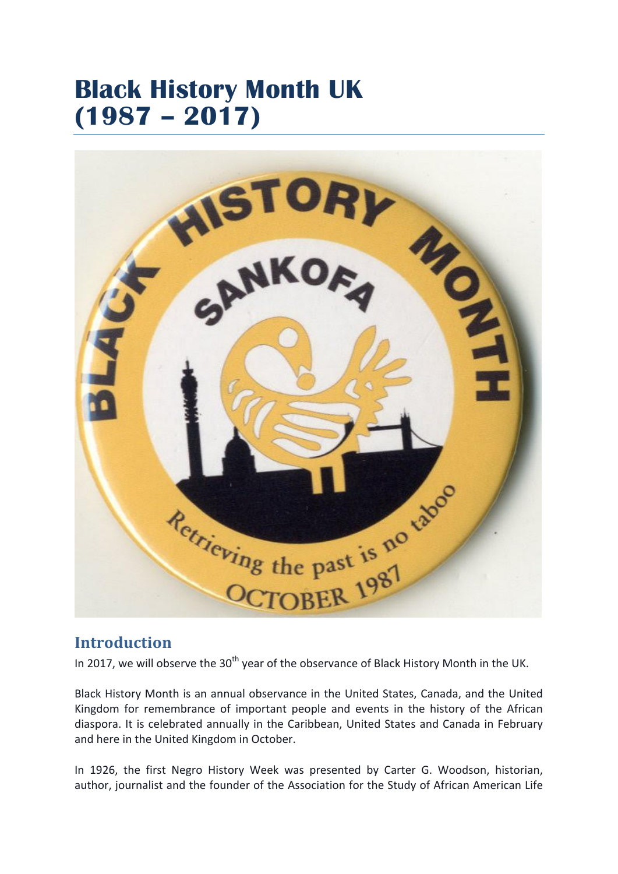## **Black History Month UK (1987 – 2017)**



## **Introduction**

In 2017, we will observe the 30<sup>th</sup> year of the observance of Black History Month in the UK.

Black History Month is an annual observance in the United States, Canada, and the United Kingdom for remembrance of important people and events in the history of the African diaspora. It is celebrated annually in the Caribbean, United States and Canada in February and here in the United Kingdom in October.

In 1926, the first Negro History Week was presented by Carter G. Woodson, historian, author, journalist and the founder of the Association for the Study of African American Life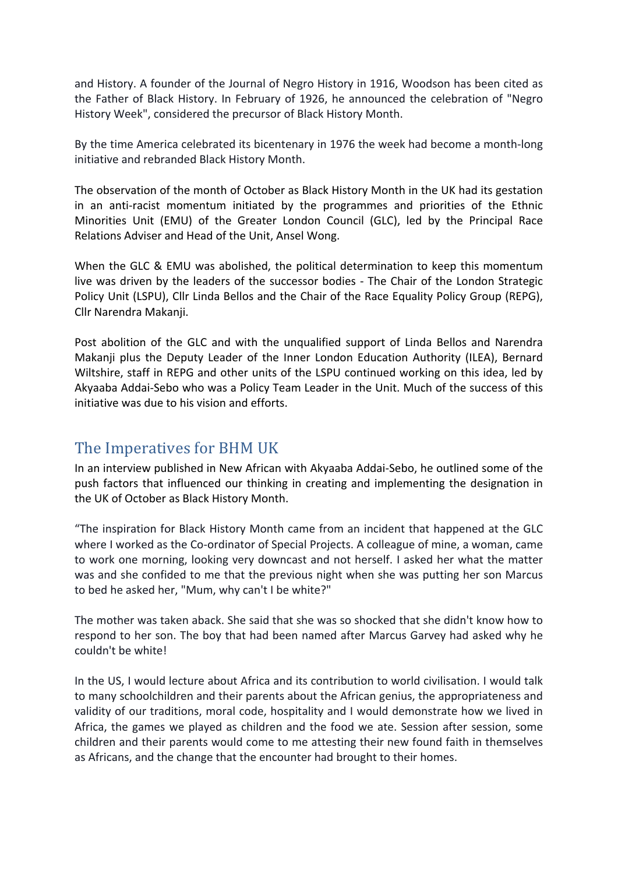and History. A founder of the Journal of Negro History in 1916, Woodson has been cited as the Father of Black History. In February of 1926, he announced the celebration of "Negro History Week", considered the precursor of Black History Month.

By the time America celebrated its bicentenary in 1976 the week had become a month-long initiative and rebranded Black History Month.

The observation of the month of October as Black History Month in the UK had its gestation in an anti-racist momentum initiated by the programmes and priorities of the Ethnic Minorities Unit (EMU) of the Greater London Council (GLC), led by the Principal Race Relations Adviser and Head of the Unit, Ansel Wong.

When the GLC & EMU was abolished, the political determination to keep this momentum live was driven by the leaders of the successor bodies - The Chair of the London Strategic Policy Unit (LSPU), Cllr Linda Bellos and the Chair of the Race Equality Policy Group (REPG), Cllr Narendra Makanji.

Post abolition of the GLC and with the unqualified support of Linda Bellos and Narendra Makanji plus the Deputy Leader of the Inner London Education Authority (ILEA), Bernard Wiltshire, staff in REPG and other units of the LSPU continued working on this idea, led by Akyaaba Addai-Sebo who was a Policy Team Leader in the Unit. Much of the success of this initiative was due to his vision and efforts.

## The Imperatives for BHM UK

In an interview published in New African with Akyaaba Addai-Sebo, he outlined some of the push factors that influenced our thinking in creating and implementing the designation in the UK of October as Black History Month.

"The inspiration for Black History Month came from an incident that happened at the GLC where I worked as the Co-ordinator of Special Projects. A colleague of mine, a woman, came to work one morning, looking very downcast and not herself. I asked her what the matter was and she confided to me that the previous night when she was putting her son Marcus to bed he asked her, "Mum, why can't I be white?"

The mother was taken aback. She said that she was so shocked that she didn't know how to respond to her son. The boy that had been named after Marcus Garvey had asked why he couldn't be white!

In the US, I would lecture about Africa and its contribution to world civilisation. I would talk to many schoolchildren and their parents about the African genius, the appropriateness and validity of our traditions, moral code, hospitality and I would demonstrate how we lived in Africa, the games we played as children and the food we ate. Session after session, some children and their parents would come to me attesting their new found faith in themselves as Africans, and the change that the encounter had brought to their homes.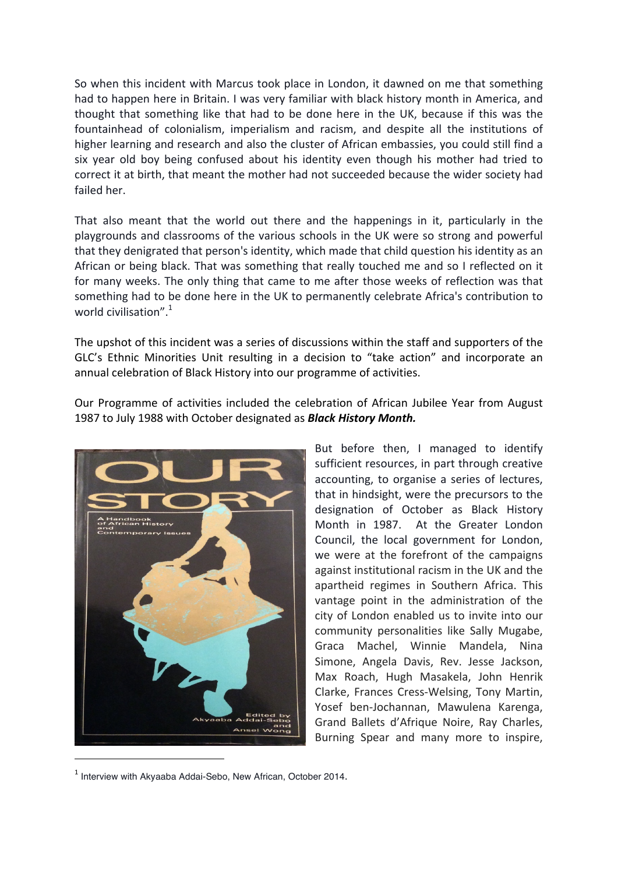So when this incident with Marcus took place in London, it dawned on me that something had to happen here in Britain. I was very familiar with black history month in America, and thought that something like that had to be done here in the UK, because if this was the fountainhead of colonialism, imperialism and racism, and despite all the institutions of higher learning and research and also the cluster of African embassies, you could still find a six year old boy being confused about his identity even though his mother had tried to correct it at birth, that meant the mother had not succeeded because the wider society had failed her.

That also meant that the world out there and the happenings in it, particularly in the playgrounds and classrooms of the various schools in the UK were so strong and powerful that they denigrated that person's identity, which made that child question his identity as an African or being black. That was something that really touched me and so I reflected on it for many weeks. The only thing that came to me after those weeks of reflection was that something had to be done here in the UK to permanently celebrate Africa's contribution to world civilisation".<sup>1</sup>

The upshot of this incident was a series of discussions within the staff and supporters of the GLC's Ethnic Minorities Unit resulting in a decision to "take action" and incorporate an annual celebration of Black History into our programme of activities.

Our Programme of activities included the celebration of African Jubilee Year from August 1987 to July 1988 with October designated as **Black History Month.** 



But before then, I managed to identify sufficient resources, in part through creative accounting, to organise a series of lectures, that in hindsight, were the precursors to the designation of October as Black History Month in 1987. At the Greater London Council, the local government for London, we were at the forefront of the campaigns against institutional racism in the UK and the apartheid regimes in Southern Africa. This vantage point in the administration of the city of London enabled us to invite into our community personalities like Sally Mugabe, Graca Machel, Winnie Mandela, Nina Simone, Angela Davis, Rev. Jesse Jackson, Max Roach, Hugh Masakela, John Henrik Clarke, Frances Cress-Welsing, Tony Martin, Yosef ben-Jochannan, Mawulena Karenga, Grand Ballets d'Afrique Noire, Ray Charles, Burning Spear and many more to inspire,

 $1$  Interview with Akyaaba Addai-Sebo, New African, October 2014.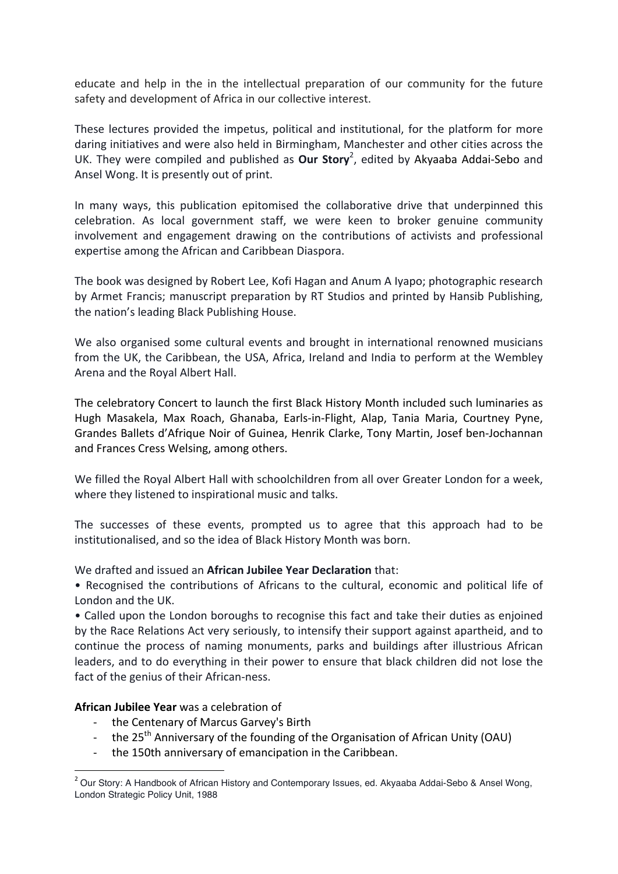educate and help in the in the intellectual preparation of our community for the future safety and development of Africa in our collective interest.

These lectures provided the impetus, political and institutional, for the platform for more daring initiatives and were also held in Birmingham, Manchester and other cities across the UK. They were compiled and published as **Our Story**<sup>2</sup>, edited by Akyaaba Addai-Sebo and Ansel Wong. It is presently out of print.

In many ways, this publication epitomised the collaborative drive that underpinned this celebration. As local government staff, we were keen to broker genuine community involvement and engagement drawing on the contributions of activists and professional expertise among the African and Caribbean Diaspora.

The book was designed by Robert Lee, Kofi Hagan and Anum A Iyapo; photographic research by Armet Francis; manuscript preparation by RT Studios and printed by Hansib Publishing, the nation's leading Black Publishing House.

We also organised some cultural events and brought in international renowned musicians from the UK, the Caribbean, the USA, Africa, Ireland and India to perform at the Wembley Arena and the Royal Albert Hall.

The celebratory Concert to launch the first Black History Month included such luminaries as Hugh Masakela, Max Roach, Ghanaba, Earls-in-Flight, Alap, Tania Maria, Courtney Pyne, Grandes Ballets d'Afrique Noir of Guinea, Henrik Clarke, Tony Martin, Josef ben-Jochannan and Frances Cress Welsing, among others.

We filled the Royal Albert Hall with schoolchildren from all over Greater London for a week, where they listened to inspirational music and talks.

The successes of these events, prompted us to agree that this approach had to be institutionalised, and so the idea of Black History Month was born.

We drafted and issued an **African Jubilee Year Declaration** that:

• Recognised the contributions of Africans to the cultural, economic and political life of London and the UK.

• Called upon the London boroughs to recognise this fact and take their duties as enjoined by the Race Relations Act very seriously, to intensify their support against apartheid, and to continue the process of naming monuments, parks and buildings after illustrious African leaders, and to do everything in their power to ensure that black children did not lose the fact of the genius of their African-ness.

## **African Jubilee Year** was a celebration of

 

- the Centenary of Marcus Garvey's Birth
- the  $25<sup>th</sup>$  Anniversary of the founding of the Organisation of African Unity (OAU)
- the 150th anniversary of emancipation in the Caribbean.

<sup>&</sup>lt;sup>2</sup> Our Story: A Handbook of African History and Contemporary Issues, ed. Akyaaba Addai-Sebo & Ansel Wong, London Strategic Policy Unit, 1988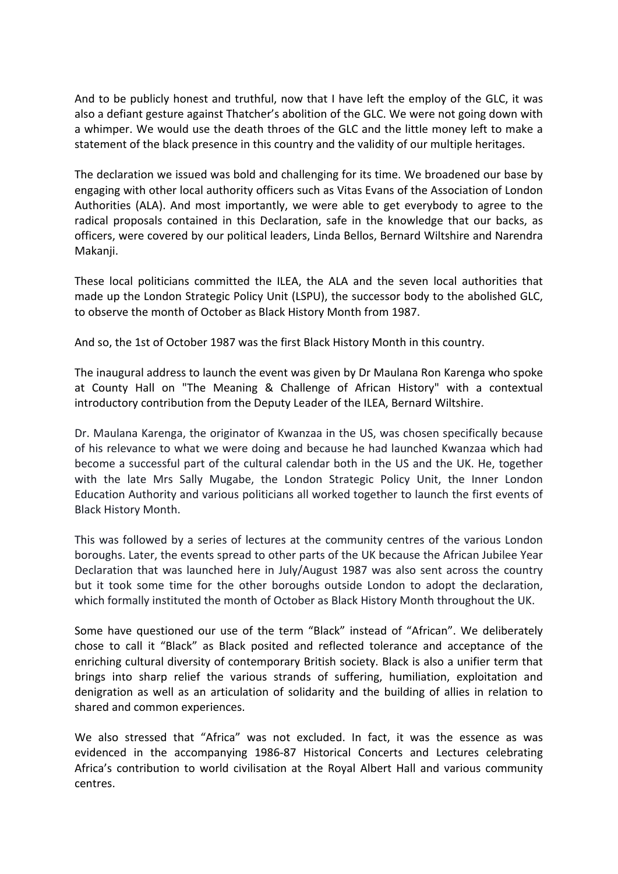And to be publicly honest and truthful, now that I have left the employ of the GLC, it was also a defiant gesture against Thatcher's abolition of the GLC. We were not going down with a whimper. We would use the death throes of the GLC and the little money left to make a statement of the black presence in this country and the validity of our multiple heritages.

The declaration we issued was bold and challenging for its time. We broadened our base by engaging with other local authority officers such as Vitas Evans of the Association of London Authorities (ALA). And most importantly, we were able to get everybody to agree to the radical proposals contained in this Declaration, safe in the knowledge that our backs, as officers, were covered by our political leaders, Linda Bellos, Bernard Wiltshire and Narendra Makanii.

These local politicians committed the ILEA, the ALA and the seven local authorities that made up the London Strategic Policy Unit (LSPU), the successor body to the abolished GLC, to observe the month of October as Black History Month from 1987.

And so, the 1st of October 1987 was the first Black History Month in this country.

The inaugural address to launch the event was given by Dr Maulana Ron Karenga who spoke at County Hall on "The Meaning & Challenge of African History" with a contextual introductory contribution from the Deputy Leader of the ILEA, Bernard Wiltshire.

Dr. Maulana Karenga, the originator of Kwanzaa in the US, was chosen specifically because of his relevance to what we were doing and because he had launched Kwanzaa which had become a successful part of the cultural calendar both in the US and the UK. He, together with the late Mrs Sally Mugabe, the London Strategic Policy Unit, the Inner London Education Authority and various politicians all worked together to launch the first events of Black History Month. 

This was followed by a series of lectures at the community centres of the various London boroughs. Later, the events spread to other parts of the UK because the African Jubilee Year Declaration that was launched here in July/August 1987 was also sent across the country but it took some time for the other boroughs outside London to adopt the declaration, which formally instituted the month of October as Black History Month throughout the UK.

Some have questioned our use of the term "Black" instead of "African". We deliberately chose to call it "Black" as Black posited and reflected tolerance and acceptance of the enriching cultural diversity of contemporary British society. Black is also a unifier term that brings into sharp relief the various strands of suffering, humiliation, exploitation and denigration as well as an articulation of solidarity and the building of allies in relation to shared and common experiences.

We also stressed that "Africa" was not excluded. In fact, it was the essence as was evidenced in the accompanying 1986-87 Historical Concerts and Lectures celebrating Africa's contribution to world civilisation at the Royal Albert Hall and various community centres.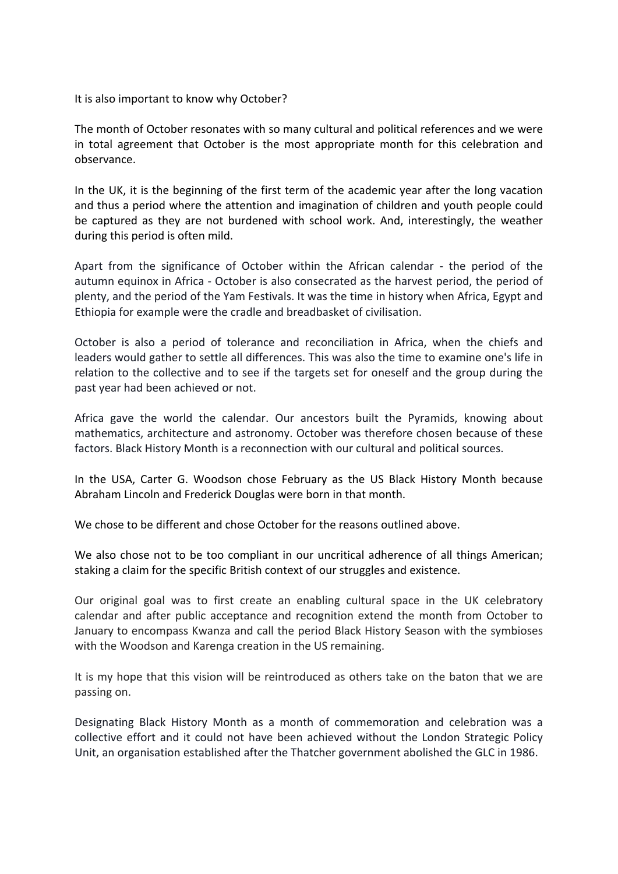It is also important to know why October?

The month of October resonates with so many cultural and political references and we were in total agreement that October is the most appropriate month for this celebration and observance.

In the UK, it is the beginning of the first term of the academic vear after the long vacation and thus a period where the attention and imagination of children and youth people could be captured as they are not burdened with school work. And, interestingly, the weather during this period is often mild.

Apart from the significance of October within the African calendar - the period of the autumn equinox in Africa - October is also consecrated as the harvest period, the period of plenty, and the period of the Yam Festivals. It was the time in history when Africa, Egypt and Ethiopia for example were the cradle and breadbasket of civilisation.

October is also a period of tolerance and reconciliation in Africa, when the chiefs and leaders would gather to settle all differences. This was also the time to examine one's life in relation to the collective and to see if the targets set for oneself and the group during the past year had been achieved or not.

Africa gave the world the calendar. Our ancestors built the Pyramids, knowing about mathematics, architecture and astronomy. October was therefore chosen because of these factors. Black History Month is a reconnection with our cultural and political sources.

In the USA, Carter G. Woodson chose February as the US Black History Month because Abraham Lincoln and Frederick Douglas were born in that month.

We chose to be different and chose October for the reasons outlined above.

We also chose not to be too compliant in our uncritical adherence of all things American: staking a claim for the specific British context of our struggles and existence.

Our original goal was to first create an enabling cultural space in the UK celebratory calendar and after public acceptance and recognition extend the month from October to January to encompass Kwanza and call the period Black History Season with the symbioses with the Woodson and Karenga creation in the US remaining.

It is my hope that this vision will be reintroduced as others take on the baton that we are passing on.

Designating Black History Month as a month of commemoration and celebration was a collective effort and it could not have been achieved without the London Strategic Policy Unit, an organisation established after the Thatcher government abolished the GLC in 1986.